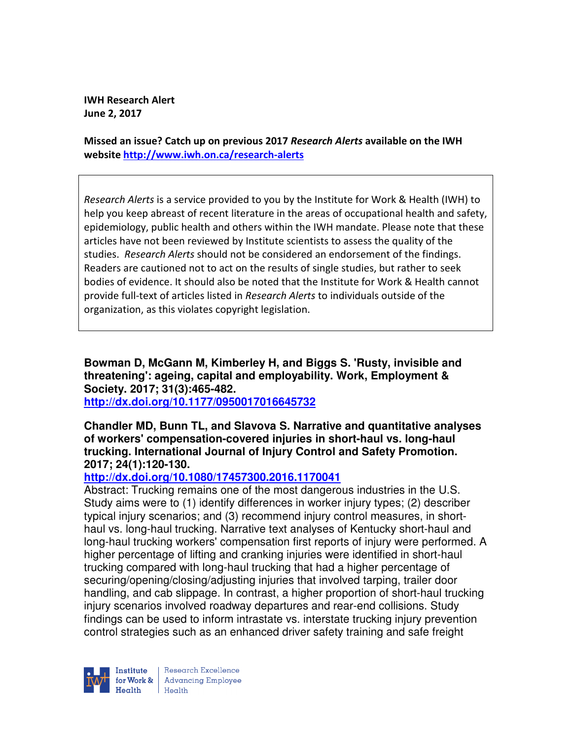**IWH Research Alert June 2, 2017** 

**Missed an issue? Catch up on previous 2017** *Research Alerts* **available on the IWH website http://www.iwh.on.ca/research-alerts**

*Research Alerts* is a service provided to you by the Institute for Work & Health (IWH) to help you keep abreast of recent literature in the areas of occupational health and safety, epidemiology, public health and others within the IWH mandate. Please note that these articles have not been reviewed by Institute scientists to assess the quality of the studies. *Research Alerts* should not be considered an endorsement of the findings. Readers are cautioned not to act on the results of single studies, but rather to seek bodies of evidence. It should also be noted that the Institute for Work & Health cannot provide full-text of articles listed in *Research Alerts* to individuals outside of the organization, as this violates copyright legislation.

**Bowman D, McGann M, Kimberley H, and Biggs S. 'Rusty, invisible and threatening': ageing, capital and employability. Work, Employment & Society. 2017; 31(3):465-482.** 

**http://dx.doi.org/10.1177/0950017016645732** 

### **Chandler MD, Bunn TL, and Slavova S. Narrative and quantitative analyses of workers' compensation-covered injuries in short-haul vs. long-haul trucking. International Journal of Injury Control and Safety Promotion. 2017; 24(1):120-130.**

# **http://dx.doi.org/10.1080/17457300.2016.1170041**

Abstract: Trucking remains one of the most dangerous industries in the U.S. Study aims were to (1) identify differences in worker injury types; (2) describer typical injury scenarios; and (3) recommend injury control measures, in shorthaul vs. long-haul trucking. Narrative text analyses of Kentucky short-haul and long-haul trucking workers' compensation first reports of injury were performed. A higher percentage of lifting and cranking injuries were identified in short-haul trucking compared with long-haul trucking that had a higher percentage of securing/opening/closing/adjusting injuries that involved tarping, trailer door handling, and cab slippage. In contrast, a higher proportion of short-haul trucking injury scenarios involved roadway departures and rear-end collisions. Study findings can be used to inform intrastate vs. interstate trucking injury prevention control strategies such as an enhanced driver safety training and safe freight



| Research Excellence for Work & Advancing Employee<br>Health Health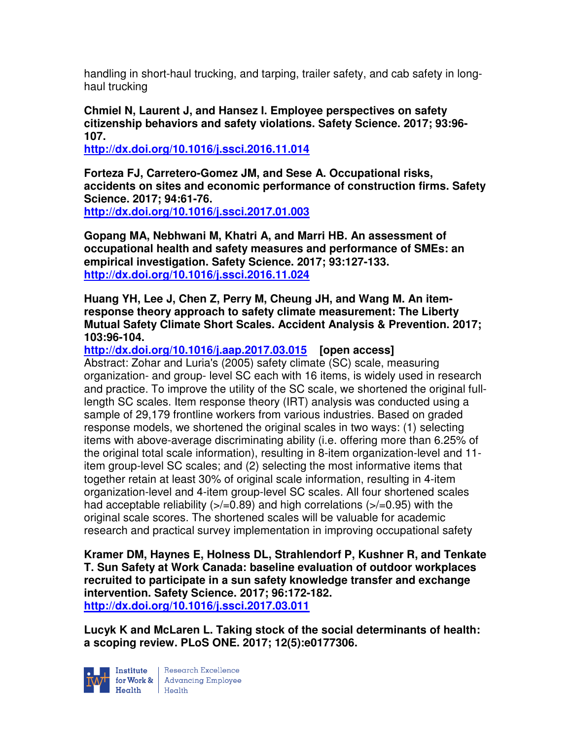handling in short-haul trucking, and tarping, trailer safety, and cab safety in longhaul trucking

**Chmiel N, Laurent J, and Hansez I. Employee perspectives on safety citizenship behaviors and safety violations. Safety Science. 2017; 93:96- 107.** 

**http://dx.doi.org/10.1016/j.ssci.2016.11.014** 

**Forteza FJ, Carretero-Gomez JM, and Sese A. Occupational risks, accidents on sites and economic performance of construction firms. Safety Science. 2017; 94:61-76.** 

**http://dx.doi.org/10.1016/j.ssci.2017.01.003** 

**Gopang MA, Nebhwani M, Khatri A, and Marri HB. An assessment of occupational health and safety measures and performance of SMEs: an empirical investigation. Safety Science. 2017; 93:127-133. http://dx.doi.org/10.1016/j.ssci.2016.11.024** 

**Huang YH, Lee J, Chen Z, Perry M, Cheung JH, and Wang M. An itemresponse theory approach to safety climate measurement: The Liberty Mutual Safety Climate Short Scales. Accident Analysis & Prevention. 2017; 103:96-104.** 

**http://dx.doi.org/10.1016/j.aap.2017.03.015 [open access]**

Abstract: Zohar and Luria's (2005) safety climate (SC) scale, measuring organization- and group- level SC each with 16 items, is widely used in research and practice. To improve the utility of the SC scale, we shortened the original fulllength SC scales. Item response theory (IRT) analysis was conducted using a sample of 29,179 frontline workers from various industries. Based on graded response models, we shortened the original scales in two ways: (1) selecting items with above-average discriminating ability (i.e. offering more than 6.25% of the original total scale information), resulting in 8-item organization-level and 11 item group-level SC scales; and (2) selecting the most informative items that together retain at least 30% of original scale information, resulting in 4-item organization-level and 4-item group-level SC scales. All four shortened scales had acceptable reliability  $($ >/=0.89) and high correlations  $($ >/=0.95) with the original scale scores. The shortened scales will be valuable for academic research and practical survey implementation in improving occupational safety

**Kramer DM, Haynes E, Holness DL, Strahlendorf P, Kushner R, and Tenkate T. Sun Safety at Work Canada: baseline evaluation of outdoor workplaces recruited to participate in a sun safety knowledge transfer and exchange intervention. Safety Science. 2017; 96:172-182. http://dx.doi.org/10.1016/j.ssci.2017.03.011** 

**Lucyk K and McLaren L. Taking stock of the social determinants of health: a scoping review. PLoS ONE. 2017; 12(5):e0177306.** 



Institute Research Excellence<br>
for Work & Advancing Employee<br>
Health Health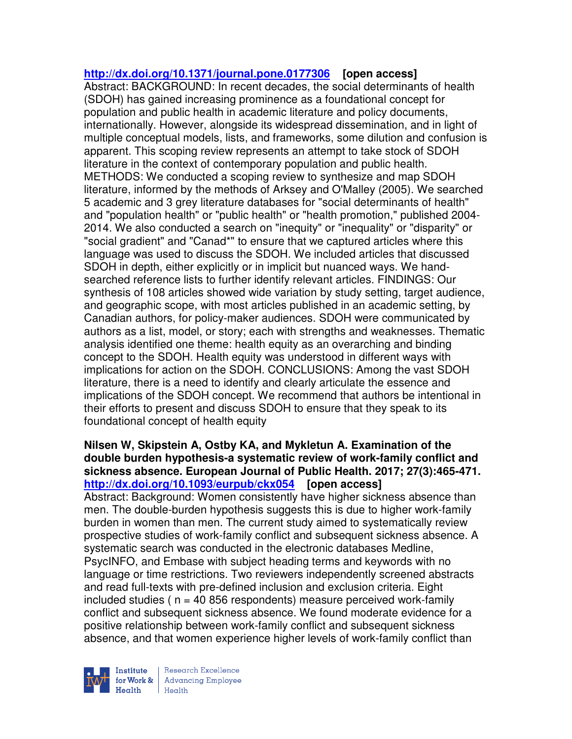## **http://dx.doi.org/10.1371/journal.pone.0177306 [open access]**

Abstract: BACKGROUND: In recent decades, the social determinants of health (SDOH) has gained increasing prominence as a foundational concept for population and public health in academic literature and policy documents, internationally. However, alongside its widespread dissemination, and in light of multiple conceptual models, lists, and frameworks, some dilution and confusion is apparent. This scoping review represents an attempt to take stock of SDOH literature in the context of contemporary population and public health. METHODS: We conducted a scoping review to synthesize and map SDOH literature, informed by the methods of Arksey and O'Malley (2005). We searched 5 academic and 3 grey literature databases for "social determinants of health" and "population health" or "public health" or "health promotion," published 2004- 2014. We also conducted a search on "inequity" or "inequality" or "disparity" or "social gradient" and "Canad\*" to ensure that we captured articles where this language was used to discuss the SDOH. We included articles that discussed SDOH in depth, either explicitly or in implicit but nuanced ways. We handsearched reference lists to further identify relevant articles. FINDINGS: Our synthesis of 108 articles showed wide variation by study setting, target audience, and geographic scope, with most articles published in an academic setting, by Canadian authors, for policy-maker audiences. SDOH were communicated by authors as a list, model, or story; each with strengths and weaknesses. Thematic analysis identified one theme: health equity as an overarching and binding concept to the SDOH. Health equity was understood in different ways with implications for action on the SDOH. CONCLUSIONS: Among the vast SDOH literature, there is a need to identify and clearly articulate the essence and implications of the SDOH concept. We recommend that authors be intentional in their efforts to present and discuss SDOH to ensure that they speak to its foundational concept of health equity

## **Nilsen W, Skipstein A, Ostby KA, and Mykletun A. Examination of the double burden hypothesis-a systematic review of work-family conflict and sickness absence. European Journal of Public Health. 2017; 27(3):465-471. http://dx.doi.org/10.1093/eurpub/ckx054 [open access]** Abstract: Background: Women consistently have higher sickness absence than men. The double-burden hypothesis suggests this is due to higher work-family burden in women than men. The current study aimed to systematically review prospective studies of work-family conflict and subsequent sickness absence. A systematic search was conducted in the electronic databases Medline, PsycINFO, and Embase with subject heading terms and keywords with no language or time restrictions. Two reviewers independently screened abstracts and read full-texts with pre-defined inclusion and exclusion criteria. Eight included studies ( $n = 40,856$  respondents) measure perceived work-family conflict and subsequent sickness absence. We found moderate evidence for a positive relationship between work-family conflict and subsequent sickness absence, and that women experience higher levels of work-family conflict than



Research Excellence for Work & | Advancing Employee Health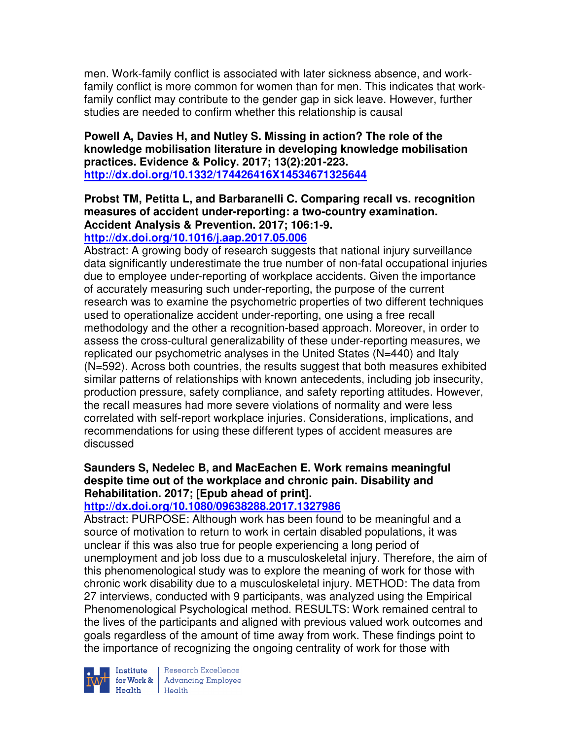men. Work-family conflict is associated with later sickness absence, and workfamily conflict is more common for women than for men. This indicates that workfamily conflict may contribute to the gender gap in sick leave. However, further studies are needed to confirm whether this relationship is causal

**Powell A, Davies H, and Nutley S. Missing in action? The role of the knowledge mobilisation literature in developing knowledge mobilisation practices. Evidence & Policy. 2017; 13(2):201-223. http://dx.doi.org/10.1332/174426416X14534671325644** 

### **Probst TM, Petitta L, and Barbaranelli C. Comparing recall vs. recognition measures of accident under-reporting: a two-country examination. Accident Analysis & Prevention. 2017; 106:1-9. http://dx.doi.org/10.1016/j.aap.2017.05.006**

Abstract: A growing body of research suggests that national injury surveillance data significantly underestimate the true number of non-fatal occupational injuries due to employee under-reporting of workplace accidents. Given the importance of accurately measuring such under-reporting, the purpose of the current research was to examine the psychometric properties of two different techniques used to operationalize accident under-reporting, one using a free recall methodology and the other a recognition-based approach. Moreover, in order to assess the cross-cultural generalizability of these under-reporting measures, we replicated our psychometric analyses in the United States (N=440) and Italy (N=592). Across both countries, the results suggest that both measures exhibited similar patterns of relationships with known antecedents, including job insecurity, production pressure, safety compliance, and safety reporting attitudes. However, the recall measures had more severe violations of normality and were less correlated with self-report workplace injuries. Considerations, implications, and recommendations for using these different types of accident measures are discussed

# **Saunders S, Nedelec B, and MacEachen E. Work remains meaningful despite time out of the workplace and chronic pain. Disability and Rehabilitation. 2017; [Epub ahead of print].**

# **http://dx.doi.org/10.1080/09638288.2017.1327986**

Abstract: PURPOSE: Although work has been found to be meaningful and a source of motivation to return to work in certain disabled populations, it was unclear if this was also true for people experiencing a long period of unemployment and job loss due to a musculoskeletal injury. Therefore, the aim of this phenomenological study was to explore the meaning of work for those with chronic work disability due to a musculoskeletal injury. METHOD: The data from 27 interviews, conducted with 9 participants, was analyzed using the Empirical Phenomenological Psychological method. RESULTS: Work remained central to the lives of the participants and aligned with previous valued work outcomes and goals regardless of the amount of time away from work. These findings point to the importance of recognizing the ongoing centrality of work for those with



Institute Research Excellence<br>for Work & Advancing Employee<br>Health Health  $H$ ealth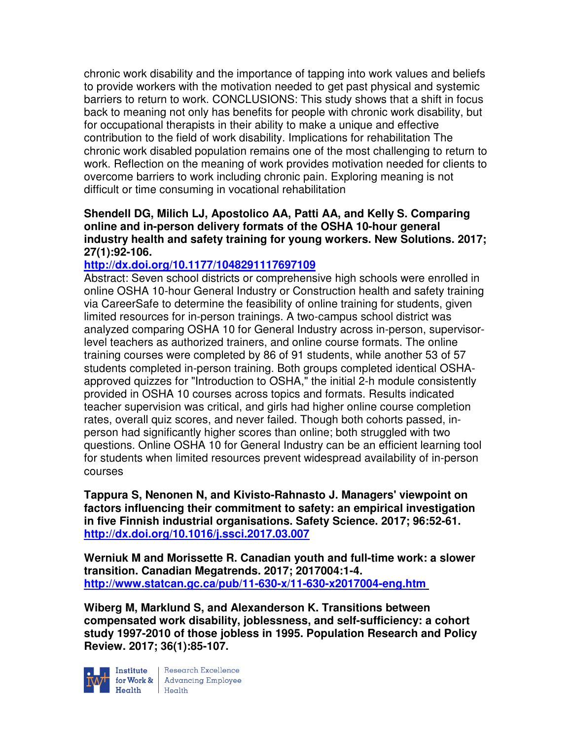chronic work disability and the importance of tapping into work values and beliefs to provide workers with the motivation needed to get past physical and systemic barriers to return to work. CONCLUSIONS: This study shows that a shift in focus back to meaning not only has benefits for people with chronic work disability, but for occupational therapists in their ability to make a unique and effective contribution to the field of work disability. Implications for rehabilitation The chronic work disabled population remains one of the most challenging to return to work. Reflection on the meaning of work provides motivation needed for clients to overcome barriers to work including chronic pain. Exploring meaning is not difficult or time consuming in vocational rehabilitation

## **Shendell DG, Milich LJ, Apostolico AA, Patti AA, and Kelly S. Comparing online and in-person delivery formats of the OSHA 10-hour general industry health and safety training for young workers. New Solutions. 2017; 27(1):92-106.**

# **http://dx.doi.org/10.1177/1048291117697109**

Abstract: Seven school districts or comprehensive high schools were enrolled in online OSHA 10-hour General Industry or Construction health and safety training via CareerSafe to determine the feasibility of online training for students, given limited resources for in-person trainings. A two-campus school district was analyzed comparing OSHA 10 for General Industry across in-person, supervisorlevel teachers as authorized trainers, and online course formats. The online training courses were completed by 86 of 91 students, while another 53 of 57 students completed in-person training. Both groups completed identical OSHAapproved quizzes for "Introduction to OSHA," the initial 2-h module consistently provided in OSHA 10 courses across topics and formats. Results indicated teacher supervision was critical, and girls had higher online course completion rates, overall quiz scores, and never failed. Though both cohorts passed, inperson had significantly higher scores than online; both struggled with two questions. Online OSHA 10 for General Industry can be an efficient learning tool for students when limited resources prevent widespread availability of in-person courses

**Tappura S, Nenonen N, and Kivisto-Rahnasto J. Managers' viewpoint on factors influencing their commitment to safety: an empirical investigation in five Finnish industrial organisations. Safety Science. 2017; 96:52-61. http://dx.doi.org/10.1016/j.ssci.2017.03.007** 

**Werniuk M and Morissette R. Canadian youth and full-time work: a slower transition. Canadian Megatrends. 2017; 2017004:1-4. http://www.statcan.gc.ca/pub/11-630-x/11-630-x2017004-eng.htm** 

**Wiberg M, Marklund S, and Alexanderson K. Transitions between compensated work disability, joblessness, and self-sufficiency: a cohort study 1997-2010 of those jobless in 1995. Population Research and Policy Review. 2017; 36(1):85-107.** 



Institute Research Excellence<br>
for Work & Advancing Employee<br>
Health Health